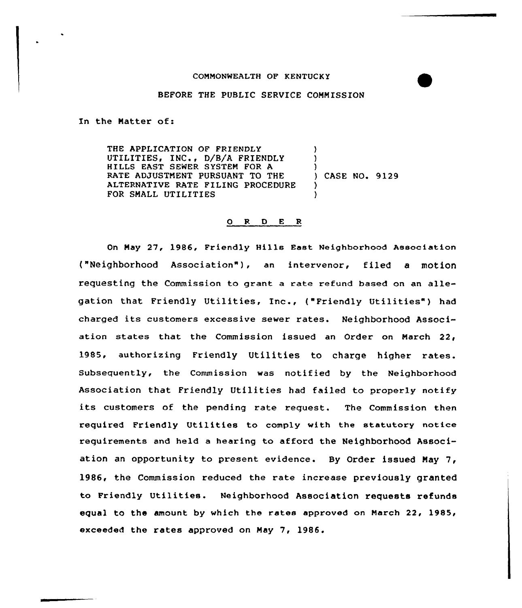## COMMONWEALTH OF KENTUCKY

## BEFORE THE PUBLIC SERVICE COMMISSION

In the Matter of:

THE APPLICATION OF FRIENDLY UTILITIES, INC., D/B/A FRIENDLY HILLS EAST SEWER SYSTEM FOR A RATE ADJUSTMENT PURSUANT TO THE ALTERNATIVE RATE FILING PROCEDURE FOR SMALL UTILITIES ) ) ) ) CASE NO. 9129 ) )

## ORDER

On May 27, 1986, Friendly Hills East Neighborhood Association ("Neighborhood Association" ), an intervenor, filed <sup>a</sup> motion requesting the Commission to grant a rate refund based on an allegation that Friendly Utilities, Inc., ("Friendly Utilities") had charged its customers excessive sewer rates. Neighborhood Association states that the Commission issued an Order on March 22, 1985, authorizing Friendly Utilities to charge higher rates. Subsequently, the Commission was notified by the Neighborhood Association that Friendly Utilities had failed to properly notify its customers of the pending rate request. The Commission then required Friendly Utilities to comply with the statutory notice requirements and held a hearing to afford the Neighborhood Association an opportunity to present evidence. By Order issued May 7, 1986, the Commission reduced the rate increase previously granted to Friendly Utilities. Neighborhood Association requests refunds equal to the amount by which the rates approved on March 22, 1985, exceeded the rates approved on May 7, 1986.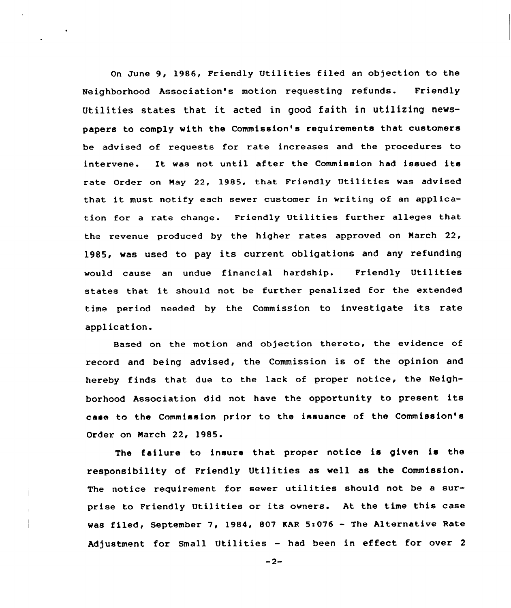On June 9, 1986, Friendly Utilities filed an objection to the Neighborhood Association's motion requesting refunds. Friendly Utilities states that it acted in good faith in utilizing newspapers to comply with the Commission's requirements that customers be advised of requests for rate increases and the procedures to intervene. It was not until after the Commission had issued its rate Order on Nay 22, 1985, that Friendly Utilities was advised that it must notify each sewer customer in writing of an application for a rate change. Friendly Utilities further alleges that the revenue produced by the higher rates approved on March 22, 1985, was used to pay its current obligations and any refunding would cause an undue financial hardship. Friendly Utilities states that it should not be further penalized for the extended time period needed by the Commission to investigate its rate application.

Based on the motion and objection thereto, the evidence of record and being advised, the Commission is of the opinion and hereby finds that due to the lack of proper notice, the Neighborhood Association did not have the opportunity to present its caen to the Commission prior to the issuance of the Commission's Order on March 22, 1985.

The failure to insure that proper notice is given is the responsibility of Friendly Utilities as well as the Commission. The notice requirement for sewer utilities should not be <sup>a</sup> surprise to Friendly Utilities or its owners. At the time this case was filed, September 7, 1984, 807 KAR 5:076 - The Alternative Rate Adjustment for Small Utilities — had been in effect for over <sup>2</sup>

 $-2-$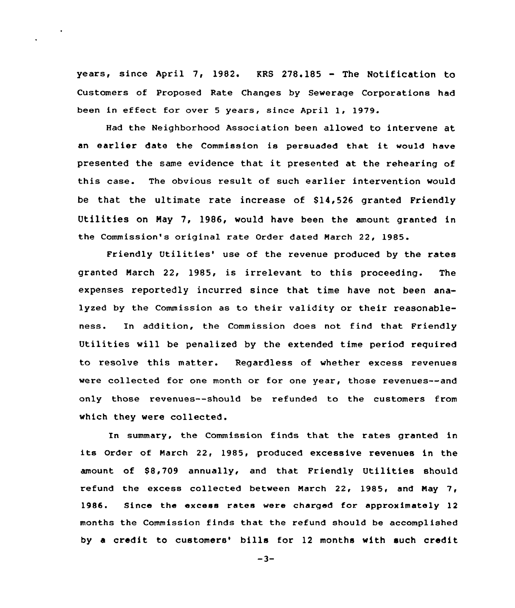years, since April 7, 1982. RRS 278.185 — The Notification to Customers of Proposed Rate Changes by Sewerage Corporations had been in effect for over <sup>5</sup> years, since April 1, 1979.

Had the Neighborhood Association been allowed to intervene at an earlier date the Commission is persuaded that it would have presented the same evidence that it presented at the rehearing of this case. The obvious result of such earlier intervention would be that the ultimate rate increase of \$14,526 granted Friendly Utilities on Nay 7, 1986, would have been the amount granted in the Commission's original rate Order dated March 22, 1985.

Friendly Utilities' use of the revenue produced by the rates granted March 22, 1985, is irrelevant to this proceeding. The expenses reportedly incurred since that time have not been analyzed by the Commission as to their validity or their reasonableness. In addition, the Commission does not find that Friendly Utilities will be penalized by the extended time period required to resolve this matter. Regardless of whether excess revenues were collected for one month or for one year, those revenues--and only those revenues--should be refunded to the customers from which they were collected.

In summary, the Commission finds that the rates granted in its Order of March 22, 1985, produced excessive revenues in the amount of \$8,709 annually, and that Friendly Utilities should refund the excess collected between March 22, l985, and May 7, 1986. Since the excess rates were charged for approximately 12 months the Commission finds that the refund should be accomplished by a credit to customers' bills for 12 months with such credit

 $-3-$